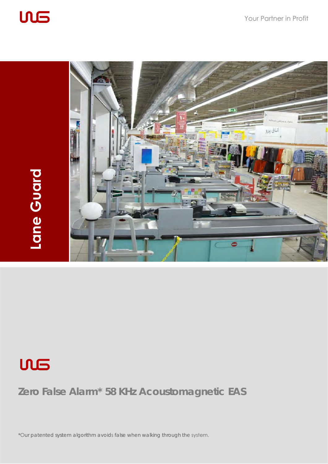





### **Zero False Alarm\* 58 KHz Acoustomagnetic EAS**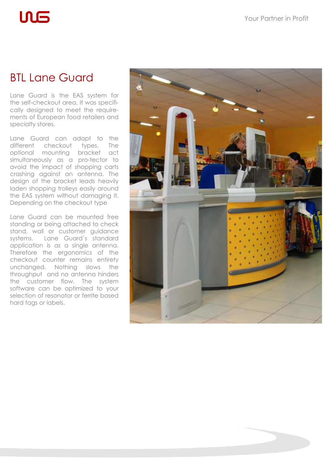# $\mathsf{M}\mathsf{S}$

### BTL Lane Guard

Lane Guard is the EAS system for the self-checkout area. It was specifically designed to meet the requirements of European food retailers and specialty stores.

Lane Guard can adapt to the different checkout types. The optional mounting bracket act simultaneously as a pro-tector to avoid the impact of shopping carts crashing against an antenna. The design of the bracket leads heavily laden shopping trolleys easily around the EAS system without damaging it. Depending on the checkout type

Lane Guard can be mounted free standing or being attached to check stand, wall or customer guidance systems. Lane Guard´s standard application is as a single antenna. Therefore the ergonomics of the checkout counter remains entirety unchanged. Nothing slows the throughput and no antenna hinders the customer flow. The system software can be optimized to your selection of resonator or ferrite based hard tags or labels.

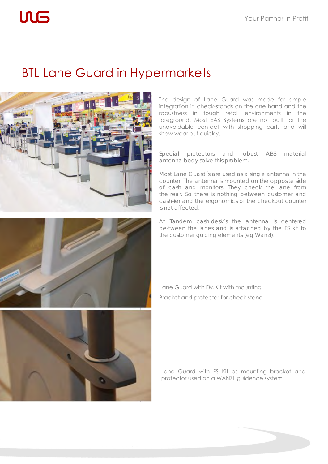# $\mathsf{L}\mathsf{L}\mathsf{L}$

## BTL Lane Guard in Hypermarkets



The design of Lane Guard was made for simple integration in check-stands on the one hand and the robustness in tough retail environments in the foreground. Most EAS Systems are not built for the unavoidable contact with shopping carts and will show wear out quickly.

Special protectors and robust ABS material antenna body solve this problem.

Most Lane Guard´s are used as a single antenna in the counter. The antenna is mounted on the opposite side of cash and monitors. They check the lane from the rear. So there is nothing between customer and cash-ier and the ergonomics of the checkout counter is not affected.

At Tandem cash desk´s the antenna is centered be-tween the lanes and is attached by the FS kit to the customer guiding elements (eg Wanzl).





Lane Guard with FM Kit with mounting Bracket and protector for check stand

Lane Guard with FS Kit as mounting bracket and protector used on a WANZL guidence system.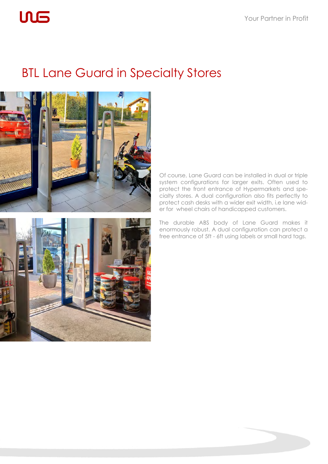# **ULS**

### BTL Lane Guard in Specialty Stores



Of course, Lane Guard can be installed in dual or triple system configurations for larger exits. Often used to protect the front entrance of Hypermarkets and specialty stores. A dual configuration also fits perfectly to protect cash desks with a wider exit width, i.e lane wider for wheel chairs of handicapped customers.



The durable ABS body of Lane Guard makes it enormously robust. A dual configuration can protect a free entrance of 5ft - 6ft using labels or small hard tags.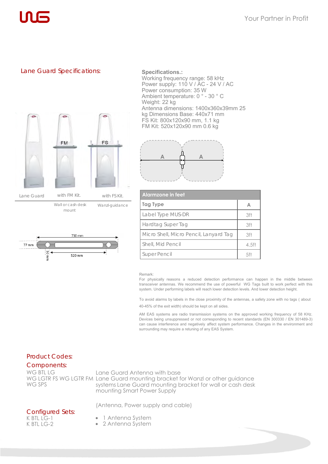#### Lane Guard Specifications: **Specifications.:**



Wall or cash desk mount Wanzl-guidance



Working frequency range: 58 kHz Power supply: 110 V / AC - 24 V / AC Power consumption: 35 W Ambient temperature: 0 ° - 30 ° C Weight: 22 kg Antenna dimensions: 1400x360x39mm 25 kg Dimensions Base: 440x71 mm FS Kit: 800x120x90 mm, 1.1 kg FM Kit: 520x120x90 mm 0.6 kg



| <b>Alarmzone in feet</b>               |          |
|----------------------------------------|----------|
| Tag Type                               |          |
| Label Type MUS-DR                      | 3ft      |
| Hardtag Super Tag                      | 3ft      |
| Micro Shell, Micro Pencil, Lanyard Tag | 3ft      |
| Shell, Mid Pencil                      | $4.5$ ft |
| <b>Super Pencil</b>                    |          |

#### Remark:

For physically reasons a reduced detection performance can happen in the middle between transceiver antennas. We recommend the use of powerful WG Tags built to work perfect with this system. Under performing labels will reach lower detection levels. And lower detection height.

To avoid alarms by labels in the close proximity of the antennas, a safety zone with no tags ( about 40-45% of the exit width) should be kept on all sides.

AM EAS systems are radio transmission systems on the approved working frequency of 58 KHz. Devices being unsuppressed or not corresponding to recent standards (EN 300330 / EN 301489-3) can cause interference and negatively affect system performance. Changes in the environment and surrounding may require a retuning of any EAS System.

#### Product Codes:

Components: WG BTL LG WG SPS

Lane Guard Antenna with base WG LGTR FS WG LGTR FM Lane Guard mounting bracket for Wanzl or other guidance systems Lane Guard mounting bracket for wall or cash desk mounting Smart Power Supply

(Antenna, Power supply and cable)

#### Configured Sets: K BTL LG-1 K BTL LG-2

- 1 Antenna System
- 2 Antenna System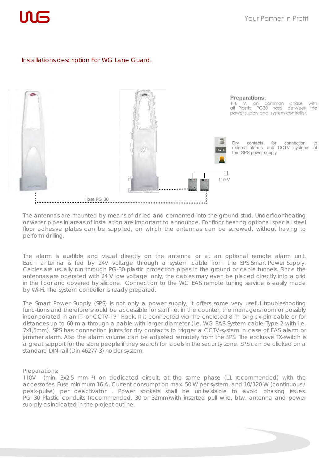

#### Installations description For WG Lane Guard.



The antennas are mounted by means of drilled and cemented into the ground stud. Underfloor heating or water pipes in areas of installation are important to announce. For floor heating optional special steel floor adhesive plates can be supplied, on which the antennas can be screwed, without having to perform drilling.

The alarm is audible and visual directly on the antenna or at an optional remote alarm unit. Each antenna is fed by 24V voltage through a system cable from the SPS Smart Power Supply. Cables are usually run through PG-30 plastic protection pipes in the ground or cable tunnels. Since the antennas are operated with 24 V low voltage only, the cables may even be placed directly into a grid in the floor and covered by silicone. Connection to the WG EAS remote tuning service is easily made by Wi-Fi. The system controller is ready prepared.

The Smart Power Supply (SPS) is not only a power supply, it offers some very useful troubleshooting func-tions and therefore should be accessible for staff i.e. in the counter, the managers room or possibly incor-porated in an IT- or CCTV-19" Rack. It is connected via the enclosed 8 m long six-pin cable or for distances up to 60 m a through a cable with larger diameter (i.e. WG EAS System cable Type 2 with i.e. 7x1,5mm). SPS has connection joints for dry contacts to trigger a CCTV-system in case of EAS alarm or jammer alarm. Also the alarm volume can be adjusted remotely from the SPS. The exclusive TX-switch is a great support for the store people if they search for labels in the security zone. SPS can be clicked on a standard DIN-rail (Din 46277-3) holder system.

#### Preparations:

110V (min. 3x2.5 mm ²) on dedicated circuit, at the same phase (L1 recommended) with the accessories. Fuse minimum 16 A. Current consumption max. 50 W per system, and 10/120 W (continuous / peak-pulse) per deactivator . Power sockets shall be un twistable to avoid phasing issues. PG 30 Plastic conduits (recommended. 30 or 32mm)with inserted pull wire, btw. antenna and power sup-ply as indicated in the project outline.